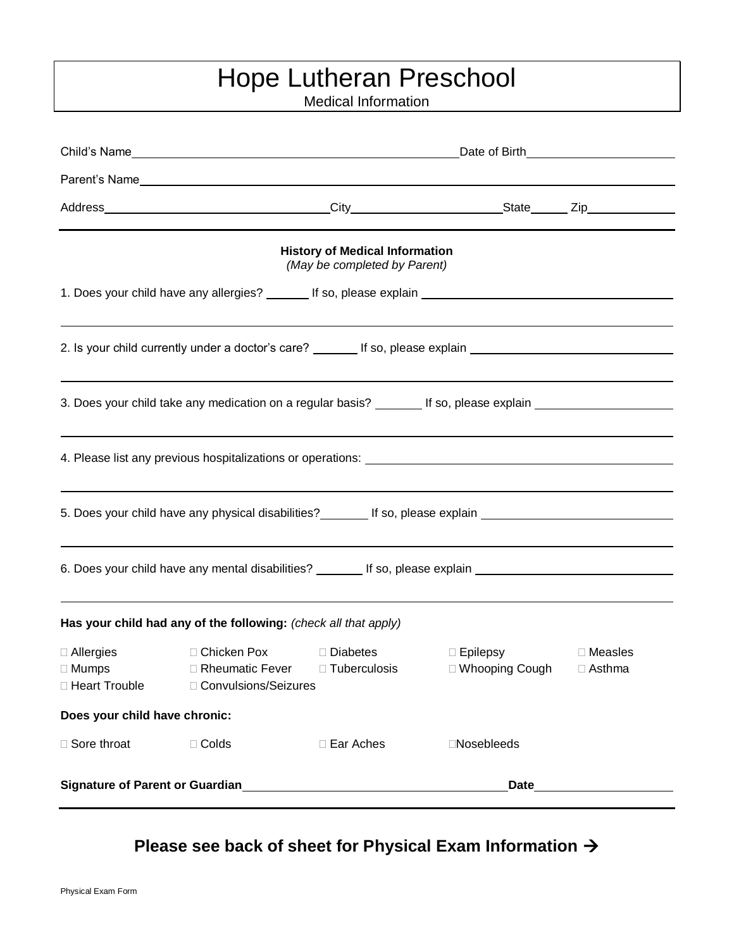## Hope Lutheran Preschool

Medical Information

| <b>History of Medical Information</b><br>(May be completed by Parent)                                |                                                                           |                                            |                                                                                                                |                                                                                                                                                                                                                                |  |  |  |  |  |
|------------------------------------------------------------------------------------------------------|---------------------------------------------------------------------------|--------------------------------------------|----------------------------------------------------------------------------------------------------------------|--------------------------------------------------------------------------------------------------------------------------------------------------------------------------------------------------------------------------------|--|--|--|--|--|
|                                                                                                      |                                                                           |                                            |                                                                                                                |                                                                                                                                                                                                                                |  |  |  |  |  |
|                                                                                                      |                                                                           |                                            | 2. Is your child currently under a doctor's care? ________ If so, please explain _____________________________ |                                                                                                                                                                                                                                |  |  |  |  |  |
|                                                                                                      |                                                                           |                                            | 3. Does your child take any medication on a regular basis? ________ If so, please explain ____________________ |                                                                                                                                                                                                                                |  |  |  |  |  |
|                                                                                                      |                                                                           |                                            |                                                                                                                |                                                                                                                                                                                                                                |  |  |  |  |  |
|                                                                                                      |                                                                           |                                            | 5. Does your child have any physical disabilities? _______ If so, please explain _____________________________ |                                                                                                                                                                                                                                |  |  |  |  |  |
| 6. Does your child have any mental disabilities? ________ If so, please explain ____________________ |                                                                           |                                            |                                                                                                                |                                                                                                                                                                                                                                |  |  |  |  |  |
| Has your child had any of the following: (check all that apply)                                      |                                                                           |                                            |                                                                                                                |                                                                                                                                                                                                                                |  |  |  |  |  |
| $\Box$ Allergies<br>$\Box$ Mumps<br>□ Heart Trouble                                                  | □ Rheumatic Fever<br>□ Convulsions/Seizures                               | □ Chicken Pox □ Diabetes<br>□ Tuberculosis | □ Epilepsy □ Measles<br>□ Whooping Cough                                                                       | $\Box$ Asthma                                                                                                                                                                                                                  |  |  |  |  |  |
| Does your child have chronic:                                                                        |                                                                           |                                            |                                                                                                                |                                                                                                                                                                                                                                |  |  |  |  |  |
| □ Sore throat                                                                                        | $\Box$ Colds                                                              | □ Ear Aches                                | □Nosebleeds                                                                                                    |                                                                                                                                                                                                                                |  |  |  |  |  |
|                                                                                                      | Signature of Parent or Guardian<br><u>Signature of Parent or Guardian</u> |                                            |                                                                                                                | Date and the contract of the contract of the contract of the contract of the contract of the contract of the contract of the contract of the contract of the contract of the contract of the contract of the contract of the c |  |  |  |  |  |

**Please see back of sheet for Physical Exam Information**